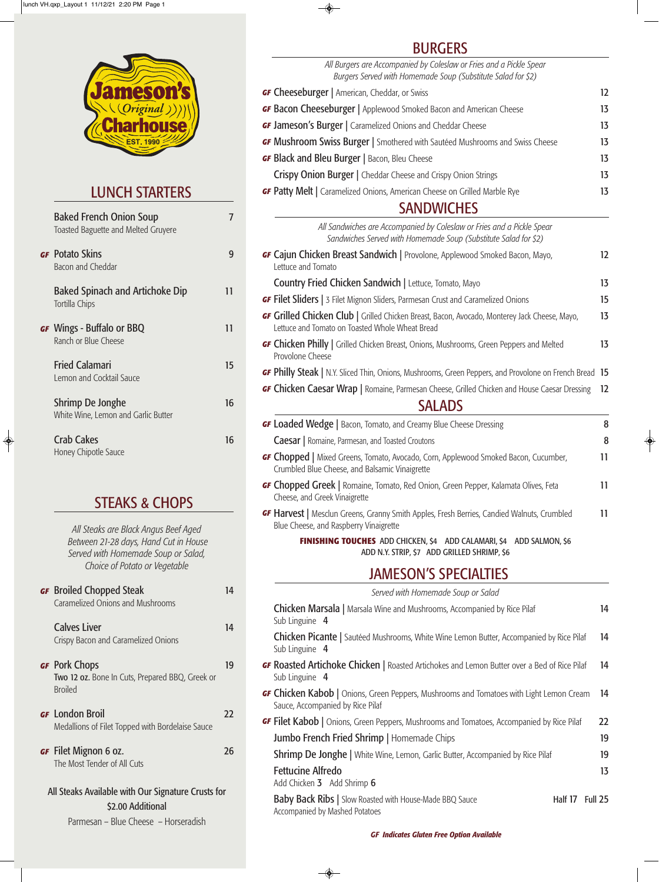# LUNCH STARTERS

| <b>Baked French Onion Soup</b><br>Toasted Baguette and Melted Gruyere | 7  |
|-----------------------------------------------------------------------|----|
| <b>GF</b> Potato Skins<br>Bacon and Cheddar                           | 9  |
| <b>Baked Spinach and Artichoke Dip</b><br>Tortilla Chips              | 11 |
| <b>GF</b> Wings - Buffalo or BBQ<br>Ranch or Blue Cheese              | 11 |
| <b>Fried Calamari</b><br>Lemon and Cocktail Sauce                     | 15 |
| Shrimp De Jonghe<br>White Wine, Lemon and Garlic Butter               | 16 |
| <b>Crab Cakes</b>                                                     | 16 |

| <b>GF</b> Broiled Chopped Steak<br><b>Caramelized Onions and Mushrooms</b> | 14 |
|----------------------------------------------------------------------------|----|
| <b>Calves Liver</b><br>Crispy Bacon and Caramelized Onions                 | 14 |

# **GF** Pork Chops 19

Honey Chipotle Sauce

 $\bigcirc$ 

# STEAKS & CHOPS

*All Steaks are Black Angus Beef Aged Between 21-28 days, Hand Cut in House Served with Homemade Soup or Salad, Choice of Potato or Vegetable*

Two 12 oz. Bone In Cuts, Prepared BBQ, Greek or Broiled

# **BURGERS**

◈

## *GF* London Broil 22

Medallions of Filet Topped with Bordelaise Sauce

## *GF* Filet Mignon 6 oz. 26 The Most Tender of All Cuts

All Steaks Available with Our Signature Crusts for \$2.00 Additional

Parmesan – Blue Cheese – Horseradish

22<br>19<br>19 **GF Filet Kabob** | Onions, Green Peppers, Mushrooms and Tomatoes, Accompanied by Rice Pilaf 22 Jumbo French Fried Shrimp | Homemade Chips 19 **Shrimp De Jonghe** | White Wine, Lemon, Garlic Butter, Accompanied by Rice Pilaf 19 Fettucine Alfredo 13 Add Chicken 3 Add Shrimp 6

Baby Back Ribs | Slow Roasted with House-Made BBQ Sauce Half 17 Full 25 Accompanied by Mashed Potatoes

 $\bigoplus$ 

| DUNULINJ                                                                                                                                                |                   |
|---------------------------------------------------------------------------------------------------------------------------------------------------------|-------------------|
| All Burgers are Accompanied by Coleslaw or Fries and a Pickle Spear<br>Burgers Served with Homemade Soup (Substitute Salad for \$2)                     |                   |
| <b>GF Cheeseburger</b>   American, Cheddar, or Swiss                                                                                                    | $12 \overline{ }$ |
| <b>GF Bacon Cheeseburger</b>   Applewood Smoked Bacon and American Cheese                                                                               | 13                |
| <b>GF Jameson's Burger</b>   Caramelized Onions and Cheddar Cheese                                                                                      | 13                |
| GF Mushroom Swiss Burger   Smothered with Sautéed Mushrooms and Swiss Cheese                                                                            | 13                |
| GF Black and Bleu Burger   Bacon, Bleu Cheese                                                                                                           | 13                |
| <b>Crispy Onion Burger</b>   Cheddar Cheese and Crispy Onion Strings                                                                                    | 13                |
| <b>GF Patty Melt</b>   Caramelized Onions, American Cheese on Grilled Marble Rye                                                                        | 13                |
| <b>SANDWICHES</b>                                                                                                                                       |                   |
| All Sandwiches are Accompanied by Coleslaw or Fries and a Pickle Spear<br>Sandwiches Served with Homemade Soup (Substitute Salad for \$2)               |                   |
| GF Cajun Chicken Breast Sandwich   Provolone, Applewood Smoked Bacon, Mayo,<br>Lettuce and Tomato                                                       | 12                |
| Country Fried Chicken Sandwich   Lettuce, Tomato, Mayo                                                                                                  | 13                |
| <b>GF Filet Sliders</b>   3 Filet Mignon Sliders, Parmesan Crust and Caramelized Onions                                                                 | 15                |
| <b>GF Grilled Chicken Club</b>   Grilled Chicken Breast, Bacon, Avocado, Monterey Jack Cheese, Mayo,<br>Lettuce and Tomato on Toasted Whole Wheat Bread | 13                |
| <b>GF Chicken Philly</b>   Grilled Chicken Breast, Onions, Mushrooms, Green Peppers and Melted<br>Provolone Cheese                                      | 13                |
| <b>GF Philly Steak</b>   N.Y. Sliced Thin, Onions, Mushrooms, Green Peppers, and Provolone on French Bread 15                                           |                   |
| <b>GF Chicken Caesar Wrap</b>   Romaine, Parmesan Cheese, Grilled Chicken and House Caesar Dressing                                                     | 12                |
| <b>SALADS</b>                                                                                                                                           |                   |
| GF Loaded Wedge   Bacon, Tomato, and Creamy Blue Cheese Dressing                                                                                        | 8                 |
| <b>Caesar</b>   Romaine, Parmesan, and Toasted Croutons                                                                                                 | 8                 |
| <b>GF Chopped</b>   Mixed Greens, Tomato, Avocado, Corn, Applewood Smoked Bacon, Cucumber,<br>Crumbled Blue Cheese, and Balsamic Vinaigrette            | 11                |
| <b>GF Chopped Greek</b>   Romaine, Tomato, Red Onion, Green Pepper, Kalamata Olives, Feta<br>Cheese, and Greek Vinaigrette                              | 11                |
| GF Harvest   Mesclun Greens, Granny Smith Apples, Fresh Berries, Candied Walnuts, Crumbled<br>Blue Cheese, and Raspberry Vinaigrette                    | 11                |
| <b>FINISHING TOUCHES</b> ADD CHICKEN, \$4 ADD CALAMARI, \$4 ADD SALMON, \$6<br>ADD N.Y. STRIP, \$7 ADD GRILLED SHRIMP, \$6                              |                   |

*GF Indicates Gluten Free GF Indicates Gluten Free Option Available*

# JAMESON'S SPECIALTIES

| Served with Homemade Soup or Salad                                                                                   |    |
|----------------------------------------------------------------------------------------------------------------------|----|
| Chicken Marsala   Marsala Wine and Mushrooms, Accompanied by Rice Pilaf<br>Sub Linguine 4                            | 14 |
| <b>Chicken Picante</b>   Sautéed Mushrooms, White Wine Lemon Butter, Accompanied by Rice Pilaf<br>Sub Linguine 4     | 14 |
| <b>GF Roasted Artichoke Chicken</b>   Roasted Artichokes and Lemon Butter over a Bed of Rice Pilaf<br>Sub Linguine 4 | 14 |

**GF Chicken Kabob** | Onions, Green Peppers, Mushrooms and Tomatoes with Light Lemon Cream 14

Sauce, Accompanied by Rice Pilaf

 $\overline{\bullet}$